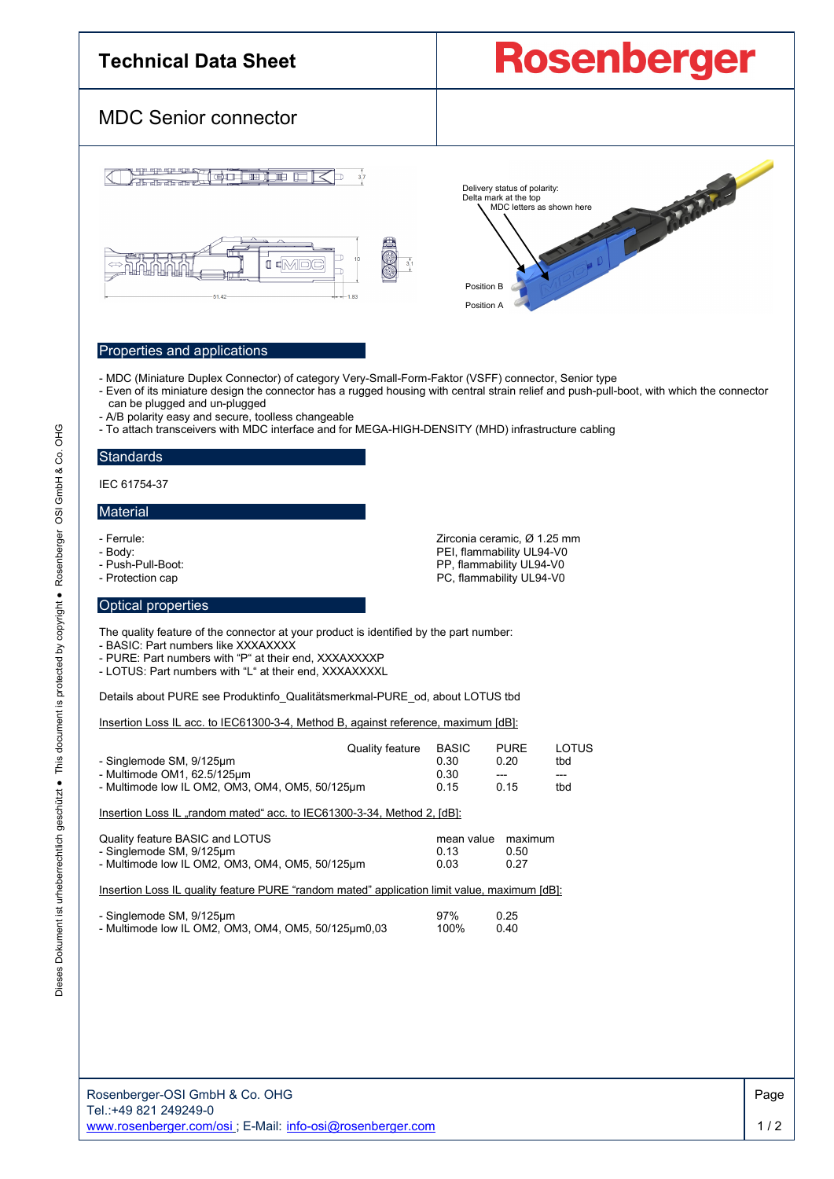## **Rosenberger Technical Data Sheet** MDC Senior connector Transfer Delivery status of polarity: Delta mark at the top MDC letters as shown here  $\blacksquare$  $\blacksquare$  $\blacksquare$ Position B 1.83 Position AProperties and applications - MDC (Miniature Duplex Connector) of category Very-Small-Form-Faktor (VSFF) connector, Senior type - Even of its miniature design the connector has a rugged housing with central strain relief and push-pull-boot, with which the connector can be plugged and un-plugged - A/B polarity easy and secure, toolless changeable - To attach transceivers with MDC interface and for MEGA-HIGH-DENSITY (MHD) infrastructure cabling **Standards** IEC 61754-37 **Material** - Ferrule:<br>
- Body:<br>
PEI, flammability UL94-V0 - Body: PEI, flammability UL94-V0 - Push-Pull-Boot: Push-Pull-Boot:<br>
Protection cap Push-Pull-Boot: PC, flammability UL94-V0 PC, flammability UL94-V0 Optical properties The quality feature of the connector at your product is identified by the part number: - BASIC: Part numbers like XXXAXXXX - PURE: Part numbers with "P" at their end, XXXAXXXXP - LOTUS: Part numbers with "L" at their end, XXXAXXXXL Details about PURE see Produktinfo\_Qualitätsmerkmal-PURE\_od, about LOTUS tbd Insertion Loss IL acc. to IEC61300-3-4, Method B, against reference, maximum [dB]: Quality feature BASIC PURE LOTUS<br>0.30 0.20 tbd - Singlemode SM, 9/125µm 0.30 0.20 tbd - Multimode OM1, 62.5/125µm  $\frac{1}{2}$  0.30 --- --- ---<br>- Multimode low II OM2 OM3 OM4 OM5 50/125um 0.15 0.15 thd - Multimode low IL OM2, OM3, OM4, OM5, 50/125um Insertion Loss IL "random mated" acc. to IEC61300-3-34, Method 2, [dB]: Quality feature BASIC and LOTUS example and the maximum mean value maximum<br>And the simulation of the maximum of the maximum of the maximum of the maximum of the maximum of the simulatio - Singlemode SM, 9/125µm 0.13 0.50 - Multimode low IL OM2, OM3, OM4, OM5,  $50/125 \mu m$ Insertion Loss IL quality feature PURE "random mated" application limit value, maximum [dB]: - Singlemode SM, 9/125µm 97% 0.25 - Multimode low IL OM2, OM3, OM4, OM5, 50/125μm0,03 100% 0.40